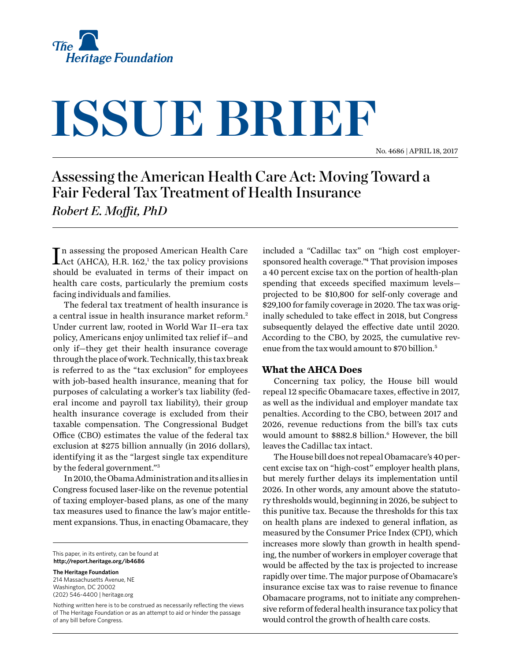

# **ISSUE BRIEF**

No. 4686 | April 18, 2017

# Assessing the American Health Care Act: Moving Toward a Fair Federal Tax Treatment of Health Insurance *Robert E. Moffit, PhD*

In assessing the proposed American Health Care<br>Act (AHCA), H.R. 162,<sup>1</sup> the tax policy provisions Act (AHCA), H.R.  $162$ ,<sup>1</sup> the tax policy provisions should be evaluated in terms of their impact on health care costs, particularly the premium costs facing individuals and families.

The federal tax treatment of health insurance is a central issue in health insurance market reform.2 Under current law, rooted in World War II–era tax policy, Americans enjoy unlimited tax relief if—and only if—they get their health insurance coverage through the place of work. Technically, this tax break is referred to as the "tax exclusion" for employees with job-based health insurance, meaning that for purposes of calculating a worker's tax liability (federal income and payroll tax liability), their group health insurance coverage is excluded from their taxable compensation. The Congressional Budget Office (CBO) estimates the value of the federal tax exclusion at \$275 billion annually (in 2016 dollars), identifying it as the "largest single tax expenditure by the federal government."3

In 2010, the Obama Administration and its allies in Congress focused laser-like on the revenue potential of taxing employer-based plans, as one of the many tax measures used to finance the law's major entitlement expansions. Thus, in enacting Obamacare, they

This paper, in its entirety, can be found at **http://report.heritage.org/ib4686**

**The Heritage Foundation** 214 Massachusetts Avenue, NE Washington, DC 20002 (202) 546-4400 | [heritage.org](http://www.heritage.org)

Nothing written here is to be construed as necessarily reflecting the views of The Heritage Foundation or as an attempt to aid or hinder the passage of any bill before Congress.

included a "Cadillac tax" on "high cost employersponsored health coverage."4 That provision imposes a 40 percent excise tax on the portion of health-plan spending that exceeds specified maximum levels projected to be \$10,800 for self-only coverage and \$29,100 for family coverage in 2020. The tax was originally scheduled to take effect in 2018, but Congress subsequently delayed the effective date until 2020. According to the CBO, by 2025, the cumulative revenue from the tax would amount to \$70 billion.5

#### **What the AHCA Does**

Concerning tax policy, the House bill would repeal 12 specific Obamacare taxes, effective in 2017, as well as the individual and employer mandate tax penalties. According to the CBO, between 2017 and 2026, revenue reductions from the bill's tax cuts would amount to \$882.8 billion.<sup>6</sup> However, the bill leaves the Cadillac tax intact.

The House bill does not repeal Obamacare's 40 percent excise tax on "high-cost" employer health plans, but merely further delays its implementation until 2026. In other words, any amount above the statutory thresholds would, beginning in 2026, be subject to this punitive tax. Because the thresholds for this tax on health plans are indexed to general inflation, as measured by the Consumer Price Index (CPI), which increases more slowly than growth in health spending, the number of workers in employer coverage that would be affected by the tax is projected to increase rapidly over time. The major purpose of Obamacare's insurance excise tax was to raise revenue to finance Obamacare programs, not to initiate any comprehensive reform of federal health insurance tax policy that would control the growth of health care costs.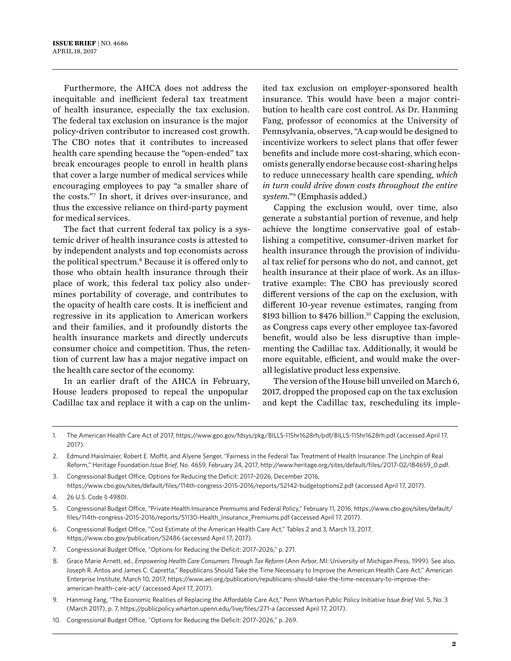Furthermore, the AHCA does not address the inequitable and inefficient federal tax treatment of health insurance, especially the tax exclusion. The federal tax exclusion on insurance is the major policy-driven contributor to increased cost growth. The CBO notes that it contributes to increased health care spending because the "open-ended" tax break encourages people to enroll in health plans that cover a large number of medical services while encouraging employees to pay "a smaller share of the costs."7 In short, it drives over-insurance, and thus the excessive reliance on third-party payment for medical services.

The fact that current federal tax policy is a systemic driver of health insurance costs is attested to by independent analysts and top economists across the political spectrum.8 Because it is offered only to those who obtain health insurance through their place of work, this federal tax policy also undermines portability of coverage, and contributes to the opacity of health care costs. It is inefficient and regressive in its application to American workers and their families, and it profoundly distorts the health insurance markets and directly undercuts consumer choice and competition. Thus, the retention of current law has a major negative impact on the health care sector of the economy.

In an earlier draft of the AHCA in February, House leaders proposed to repeal the unpopular Cadillac tax and replace it with a cap on the unlimited tax exclusion on employer-sponsored health insurance. This would have been a major contribution to health care cost control. As Dr. Hanming Fang, professor of economics at the University of Pennsylvania, observes, "A cap would be designed to incentivize workers to select plans that offer fewer benefits and include more cost-sharing, which economists generally endorse because cost-sharing helps to reduce unnecessary health care spending, *which in turn could drive down costs throughout the entire system*."9 (Emphasis added.)

Capping the exclusion would, over time, also generate a substantial portion of revenue, and help achieve the longtime conservative goal of establishing a competitive, consumer-driven market for health insurance through the provision of individual tax relief for persons who do not, and cannot, get health insurance at their place of work. As an illustrative example: The CBO has previously scored different versions of the cap on the exclusion, with different 10-year revenue estimates, ranging from \$193 billion to  $$476$  billion.<sup>10</sup> Capping the exclusion, as Congress caps every other employee tax-favored benefit, would also be less disruptive than implementing the Cadillac tax. Additionally, it would be more equitable, efficient, and would make the overall legislative product less expensive.

The version of the House bill unveiled on March 6, 2017, dropped the proposed cap on the tax exclusion and kept the Cadillac tax, rescheduling its imple-

- 6. Congressional Budget Office, "Cost Estimate of the American Health Care Act," Tables 2 and 3, March 13, 2017, <https://www.cbo.gov/publication/52486> (accessed April 17, 2017).
- 7. Congressional Budget Office, "Options for Reducing the Deficit: 2017–2026," p. 271.
- 8. Grace Marie Arnett, ed., *Empowering Health Care Consumers Through Tax Reform* (Ann Arbor, MI: University of Michigan Press, 1999). See also, Joseph R. Antos and James C. Capretta," Republicans Should Take the Time Necessary to Improve the American Health Care Act," American Enterprise Institute, March 10, 2017, [https://www.aei.org/publication/republicans-should-take-the-time-necessary-to-improve-the](https://www.aei.org/publication/republicans-should-take-the-time-necessary-to-improve-the-american-health-care-act/%20)[american-health-care-act/](https://www.aei.org/publication/republicans-should-take-the-time-necessary-to-improve-the-american-health-care-act/%20) (accessed April 17, 2017).
- 9. Hanming Fang, "The Economic Realities of Replacing the Affordable Care Act," Penn Wharton Public Policy Initiative *Issue Brief* Vol. 5, No. 3 (March 2017), p. 7,<https://publicpolicy.wharton.upenn.edu/live/files/271-a> (accessed April 17, 2017).
- 10. Congressional Budget Office, "Options for Reducing the Deficit: 2017–2026," p. 269.

<sup>1.</sup> The American Health Care Act of 2017,<https://www.gpo.gov/fdsys/pkg/BILLS-115hr1628rh/pdf/BILLS-115hr1628rh.pdf>(accessed April 17, 2017).

<sup>2.</sup> Edmund Haislmaier, Robert E. Moffit, and Alyene Senger, "Fairness in the Federal Tax Treatment of Health Insurance: The Linchpin of Real Reform," Heritage Foundation *Issue Brief*, No. 4659, February 24, 2017, [http://www.heritage.org/sites/default/files/2017-02/IB4659\\_0.pdf.](http://www.heritage.org/sites/default/files/2017-02/IB4659_0.pdf)

<sup>3.</sup> Congressional Budget Office, Options for Reducing the Deficit: 2017–2026, December 2016, <https://www.cbo.gov/sites/default/files/114th-congress-2015-2016/reports/52142-budgetoptions2.pdf>(accessed April 17, 2017).

<sup>4.</sup> 26 U.S. Code § 4980I.

<sup>5.</sup> Congressional Budget Office, "Private Health Insurance Premiums and Federal Policy," February 11, 2016, [https://www.cbo.gov/sites/default/](https://www.cbo.gov/sites/default/files/114th-congress-2015-2016/reports/51130-Health_Insurance_Premiums.pdf) [files/114th-congress-2015-2016/reports/51130-Health\\_Insurance\\_Premiums.pdf](https://www.cbo.gov/sites/default/files/114th-congress-2015-2016/reports/51130-Health_Insurance_Premiums.pdf) (accessed April 17, 2017).